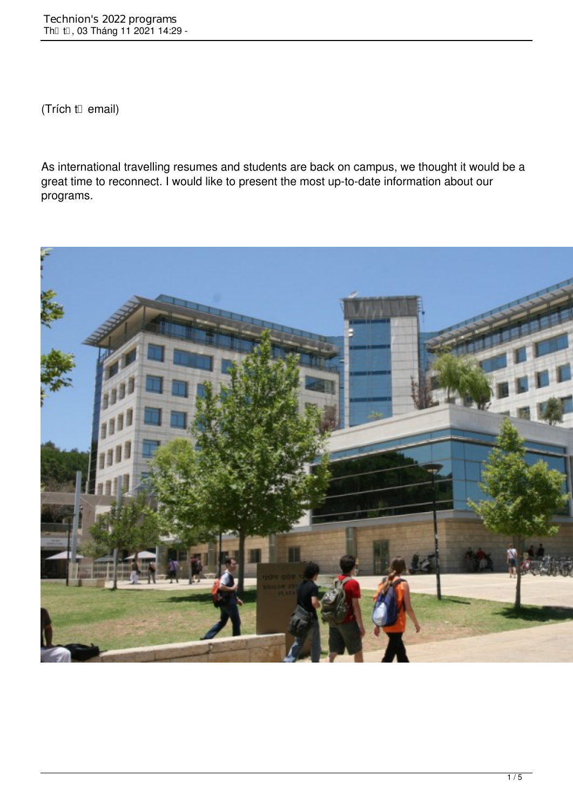(Trích từ email)

As international travelling resumes and students are back on campus, we thought it would be a great time to reconnect. I would like to present the most up-to-date information about our programs.

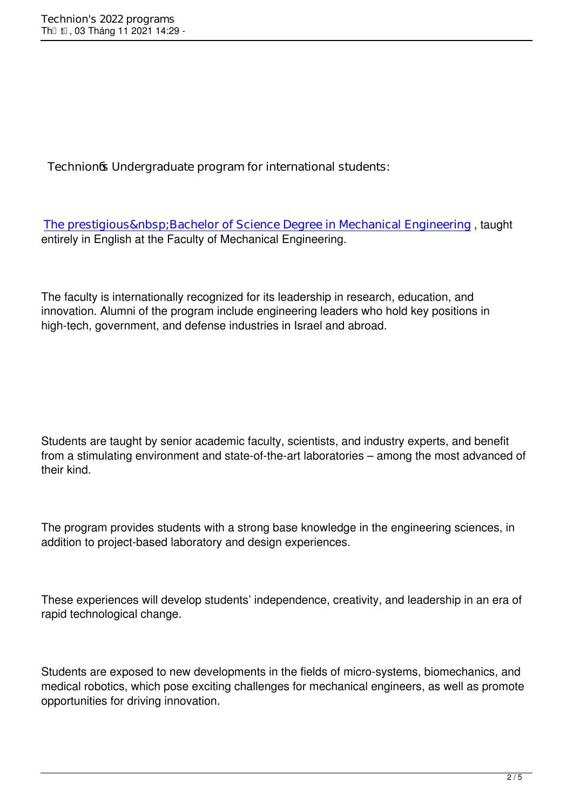**Technion's Undergraduate program for international students:**

The prestigious Bachelor of Science Degree in Mechanical Engineering, taught entirely in English at the Faculty of Mechanical Engineering.

The faculty is internationally recognized for its leadership in research, education, and innovation. Alumni of the program include engineering leaders who hold key positions in high-tech, government, and defense industries in Israel and abroad.

Students are taught by senior academic faculty, scientists, and industry experts, and benefit from a stimulating environment and state-of-the-art laboratories – among the most advanced of their kind.

The program provides students with a strong base knowledge in the engineering sciences, in addition to project-based laboratory and design experiences.

These experiences will develop students' independence, creativity, and leadership in an era of rapid technological change.

Students are exposed to new developments in the fields of micro-systems, biomechanics, and medical robotics, which pose exciting challenges for mechanical engineers, as well as promote opportunities for driving innovation.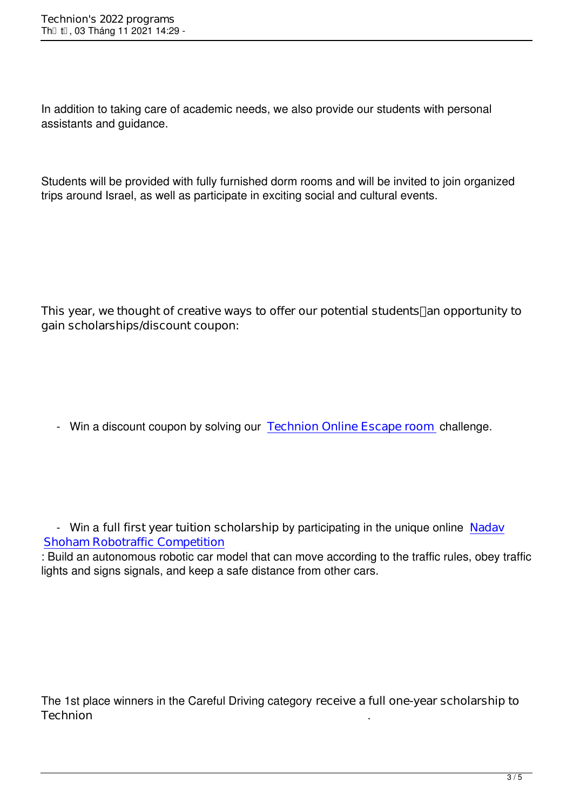In addition to taking care of academic needs, we also provide our students with personal assistants and guidance.

Students will be provided with fully furnished dorm rooms and will be invited to join organized trips around Israel, as well as participate in exciting social and cultural events.

**This year, we thought of creative ways to offer our potential students an opportunity to gain scholarships/discount coupon:**

- Win a discount coupon by solving our **Technion Online Escape room** challenge.

 - Win a **full first year tuition scholarship** by participating in the unique online **Nadav Shoham Robotraffic Competition**

: Build an autonomous robotic car model that can move according to the traffic rules, obey traffic lights and signs signals, and keep a safe distance from other cars.

The 1st place winners in the Careful Driving category **receive a full one-year scholarship to Technion** .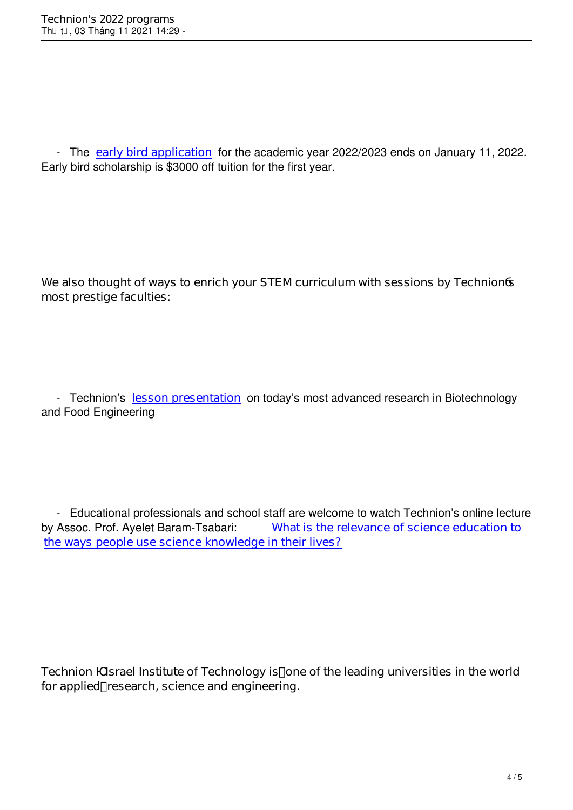- The **early bird application** for the academic year 2022/2023 ends on January 11, 2022. Early bird scholarship is \$3000 off tuition for the first year.

**We also thought of ways to enrich your STEM curriculum with sessions by Technion's most prestige faculties:**

 - Technion's **lesson presentation** on today's most advanced research in Biotechnology and Food Engineering

- Educational professionals and school staff are welcome to watch Technion's online lecture<br>by Assoc. Prof. Ayelet Baram-Tsabari: What is the relevance of science education to **What is the relevance of science education to the ways people use science knowledge in their lives?**

**Technion – Israel Institute of Technology is one of the leading universities in the world for applied research, science and engineering.**